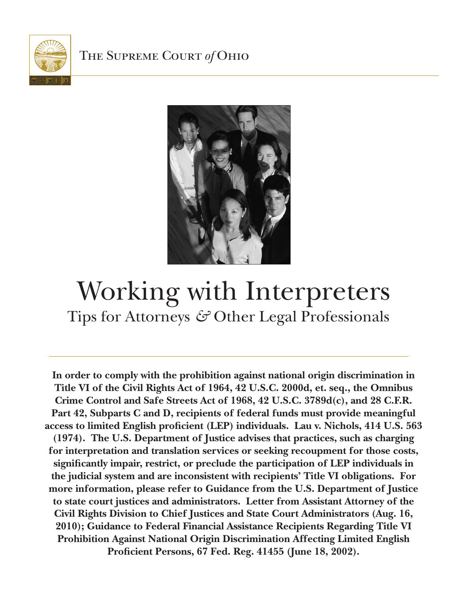



# Working with Interpreters Tips for Attorneys & Other Legal Professionals

**In order to comply with the prohibition against national origin discrimination in Title VI of the Civil Rights Act of 1964, 42 U.S.C. 2000d, et. seq., the Omnibus Crime Control and Safe Streets Act of 1968, 42 U.S.C. 3789d(c), and 28 C.F.R. Part 42, Subparts C and D, recipients of federal funds must provide meaningful access to limited English proficient (LEP) individuals. Lau v. Nichols, 414 U.S. 563 (1974). The U.S. Department of Justice advises that practices, such as charging for interpretation and translation services or seeking recoupment for those costs, significantly impair, restrict, or preclude the participation of LEP individuals in the judicial system and are inconsistent with recipients' Title VI obligations. For more information, please refer to Guidance from the U.S. Department of Justice to state court justices and administrators. Letter from Assistant Attorney of the Civil Rights Division to Chief Justices and State Court Administrators (Aug. 16, 2010); Guidance to Federal Financial Assistance Recipients Regarding Title VI Prohibition Against National Origin Discrimination Affecting Limited English Proficient Persons, 67 Fed. Reg. 41455 (June 18, 2002).**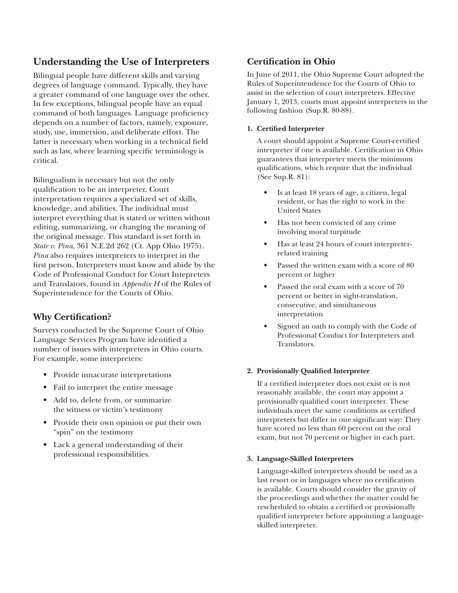# **Understanding the Use of Interpreters**

Bilingual people have different skills and varying degrees of language command. Typically, they have a greater command of one language over the other. In few exceptions, bilingual people have an equal command of both languages. Language proficiency depends on a number of factors, namely, exposure, study, use, immersion, and deliberate effort. The latter is necessary when working in a technical field such as law, where learning specific terminology is critical.

Bilingualism is necessary but not the only qualification to be an interpreter. Court interpretation requires a specialized set of skills, knowledge, and abilities. The individual must interpret everything that is stated or written without editing, summarizing, or changing the meaning of the original message. This standard is set forth in *State v. Pina*, 361 N.E.2d 262 (Ct. App Ohio 1975). *Pina* also requires interpreters to interpret in the first person. Interpreters must know and abide by the Code of Professional Conduct for Court Intepreters and Translators, found in *Appendix H* of the Rules of Superintendence for the Courts of Ohio.

# **Why Certification?**

Surveys conducted by the Supreme Court of Ohio Language Services Program have identified a number of issues with interpreters in Ohio courts. For example, some interpreters:

- Provide innacurate interpretations
- Fail to interpret the entire message
- Add to, delete from, or summarize the witness or victim's testimony
- Provide their own opinion or put their own "spin" on the testimony
- Lack a general understanding of their professional responsibilities.

# **Certification in Ohio**

In June of 2011, the Ohio Supreme Court adopted the Rules of Superintendence for the Courts of Ohio to assist in the selection of court interpreters. Effective January 1, 2013, courts must appoint interpreters in the following fashion (Sup.R. 80-88).

#### **1. Certified Interpreter**

A court should appoint a Supreme Court-certified interpreter if one is available. Certification in Ohio guarantees that interpreter meets the minimum qualifications, which require that the individual (See Sup.R. 81):

- Is at least 18 years of age, a citizen, legal resident, or has the right to work in the United States
- Has not been convicted of any crime involving moral turpitude
- Has at least 24 hours of court interpreterrelated training
- Passed the written exam with a score of 80 percent or higher
- Passed the oral exam with a score of 70 percent or better in sight-translation, consecutive, and simultaneous interpretation
- Signed an oath to comply with the Code of Professional Conduct for Interpreters and Translators.

#### **2. Provisionally Qualified Interpreter**

If a certified interpreter does not exist or is not reasonably available, the court may appoint a provisionally qualified court interpreter. These individuals meet the same conditions as certified interpreters but differ in one significant way: They have scored no less than 60 percent on the oral exam, but not 70 percent or higher in each part.

#### **3. Language-Skilled Interpreters**

Language-skilled interpreters should be used as a last resort or in languages where no certification is available. Courts should consider the gravity of the proceedings and whether the matter could be rescheduled to obtain a certified or provisionally qualified interpreter before appointing a languageskilled interpreter.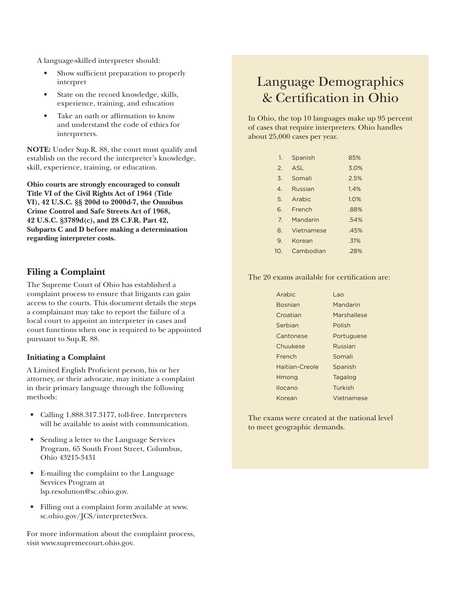A language-skilled interpreter should:

- Show sufficient preparation to properly interpret
- State on the record knowledge, skills, experience, training, and education
- Take an oath or affirmation to know and understand the code of ethics for interpreters.

**NOTE:** Under Sup.R. 88, the court must qualify and establish on the record the interpreter's knowledge, skill, experience, training, or education.

**Ohio courts are strongly encouraged to consult Title VI of the Civil Rights Act of 1964 (Title VI), 42 U.S.C. §§ 200d to 2000d-7, the Omnibus Crime Control and Safe Streets Act of 1968, 42 U.S.C. §3789d(c), and 28 C.F.R. Part 42, Subparts C and D before making a determination regarding interpreter costs.**

### **Filing a Complaint**

The Supreme Court of Ohio has established a complaint process to ensure that litigants can gain access to the courts. This document details the steps a complainant may take to report the failure of a local court to appoint an interpreter in cases and court functions when one is required to be appointed pursuant to Sup.R. 88.

#### **Initiating a Complaint**

A Limited English Proficient person, his or her attorney, or their advocate, may initiate a complaint in their primary language through the following methods:

- Calling 1.888.317.3177, toll-free. Interpreters will be available to assist with communication.
- Sending a letter to the Language Services Program, 65 South Front Street, Columbus, Ohio 43215-3431
- E-mailing the complaint to the Language Services Program at lsp.resolution@sc.ohio.gov.
- Filling out a complaint form available at www. sc.ohio.gov/JCS/interpreterSvcs.

For more information about the complaint process, visit www.supremecourt.ohio.gov.

# Language Demographics & Certification in Ohio

In Ohio, the top 10 languages make up 95 percent of cases that require interpreters. Ohio handles about 25,000 cases per year.

| 1.                    | Spanish    | 85%  |
|-----------------------|------------|------|
| $\mathcal{P}_{\cdot}$ | ASL        | 3.0% |
| 3.                    | Somali     | 2.5% |
| $\mathcal{A}_{\cdot}$ | Russian    | 1.4% |
| 5.                    | Arabic     | 1.0% |
| 6.                    | French     | .88% |
| 7 <sub>1</sub>        | Mandarin   | .54% |
| 8.                    | Vietnamese | .45% |
| 9.                    | Korean     | .31% |
| 10.                   | Cambodian  | .28% |

#### The 20 exams available for certification are:

| <b>Arabic</b>  | l ao        |
|----------------|-------------|
| <b>Bosnian</b> | Mandarin    |
| Croatian       | Marshallese |
| Serbian        | Polish      |
| Cantonese      | Portuguese  |
| Chuukese       | Russian     |
| French         | Somali      |
| Haitian-Creole | Spanish     |
| Hmong          | Tagalog     |
| Ilocano        | Turkish     |
| Korean         | Vietnamese  |

The exams were created at the national level to meet geographic demands.